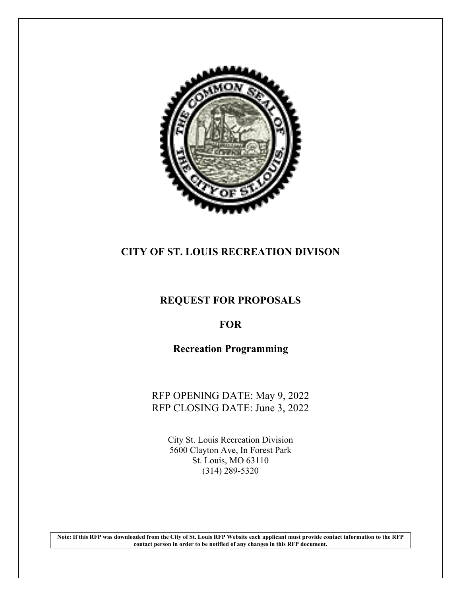

# **CITY OF ST. LOUIS RECREATION DIVISON**

## **REQUEST FOR PROPOSALS**

# **FOR**

# **Recreation Programming**

RFP OPENING DATE: May 9, 2022 RFP CLOSING DATE: June 3, 2022

> City St. Louis Recreation Division 5600 Clayton Ave, In Forest Park St. Louis, MO 63110 (314) 289-5320

**Note: If this RFP was downloaded from the City of St. Louis RFP Website each applicant must provide contact information to the RFP contact person in order to be notified of any changes in this RFP document.**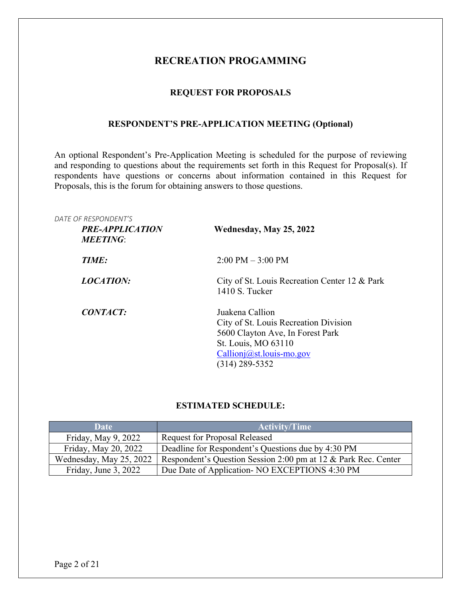### **RECREATION PROGAMMING**

### **REQUEST FOR PROPOSALS**

### **RESPONDENT'S PRE-APPLICATION MEETING (Optional)**

An optional Respondent's Pre-Application Meeting is scheduled for the purpose of reviewing and responding to questions about the requirements set forth in this Request for Proposal(s). If respondents have questions or concerns about information contained in this Request for Proposals, this is the forum for obtaining answers to those questions.

| <i>DATE OF RESPONDENT'S</i><br><b>PRE-APPLICATION</b><br><b>MEETING:</b> | Wednesday, May 25, 2022                                                                                                                                           |
|--------------------------------------------------------------------------|-------------------------------------------------------------------------------------------------------------------------------------------------------------------|
| TIME:                                                                    | $2:00 \text{ PM} - 3:00 \text{ PM}$                                                                                                                               |
| <b>LOCATION:</b>                                                         | City of St. Louis Recreation Center 12 & Park<br>1410 S. Tucker                                                                                                   |
| <b>CONTACT:</b>                                                          | Juakena Callion<br>City of St. Louis Recreation Division<br>5600 Clayton Ave, In Forest Park<br>St. Louis, MO 63110<br>Callionj@st.louis-mo.gov<br>(314) 289-5352 |

### **ESTIMATED SCHEDULE:**

| Date                    | <b>Activity/Time</b>                                           |
|-------------------------|----------------------------------------------------------------|
| Friday, May 9, 2022     | <b>Request for Proposal Released</b>                           |
| Friday, May 20, 2022    | Deadline for Respondent's Questions due by 4:30 PM             |
| Wednesday, May 25, 2022 | Respondent's Question Session 2:00 pm at 12 & Park Rec. Center |
| Friday, June 3, 2022    | Due Date of Application- NO EXCEPTIONS 4:30 PM                 |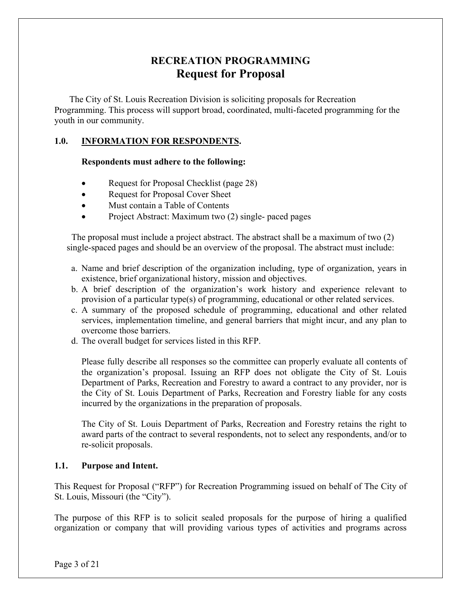# **RECREATION PROGRAMMING Request for Proposal**

The City of St. Louis Recreation Division is soliciting proposals for Recreation Programming. This process will support broad, coordinated, multi-faceted programming for the youth in our community.

### **1.0. INFORMATION FOR RESPONDENTS.**

#### **Respondents must adhere to the following:**

- Request for Proposal Checklist (page 28)
- Request for Proposal Cover Sheet
- Must contain a Table of Contents
- Project Abstract: Maximum two (2) single- paced pages

 The proposal must include a project abstract. The abstract shall be a maximum of two (2) single-spaced pages and should be an overview of the proposal. The abstract must include:

- a. Name and brief description of the organization including, type of organization, years in existence, brief organizational history, mission and objectives.
- b. A brief description of the organization's work history and experience relevant to provision of a particular type(s) of programming, educational or other related services.
- c. A summary of the proposed schedule of programming, educational and other related services, implementation timeline, and general barriers that might incur, and any plan to overcome those barriers.
- d. The overall budget for services listed in this RFP.

Please fully describe all responses so the committee can properly evaluate all contents of the organization's proposal. Issuing an RFP does not obligate the City of St. Louis Department of Parks, Recreation and Forestry to award a contract to any provider, nor is the City of St. Louis Department of Parks, Recreation and Forestry liable for any costs incurred by the organizations in the preparation of proposals.

The City of St. Louis Department of Parks, Recreation and Forestry retains the right to award parts of the contract to several respondents, not to select any respondents, and/or to re-solicit proposals.

### **1.1. Purpose and Intent.**

This Request for Proposal ("RFP") for Recreation Programming issued on behalf of The City of St. Louis, Missouri (the "City").

The purpose of this RFP is to solicit sealed proposals for the purpose of hiring a qualified organization or company that will providing various types of activities and programs across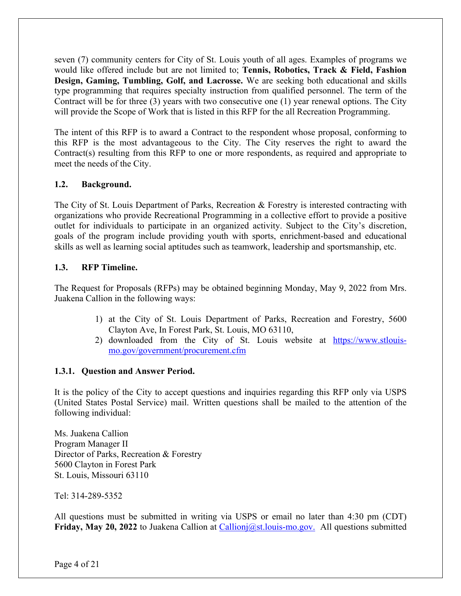seven (7) community centers for City of St. Louis youth of all ages. Examples of programs we would like offered include but are not limited to; **Tennis, Robotics, Track & Field, Fashion Design, Gaming, Tumbling, Golf, and Lacrosse.** We are seeking both educational and skills type programming that requires specialty instruction from qualified personnel. The term of the Contract will be for three (3) years with two consecutive one (1) year renewal options. The City will provide the Scope of Work that is listed in this RFP for the all Recreation Programming.

The intent of this RFP is to award a Contract to the respondent whose proposal, conforming to this RFP is the most advantageous to the City. The City reserves the right to award the Contract(s) resulting from this RFP to one or more respondents, as required and appropriate to meet the needs of the City.

### **1.2. Background.**

The City of St. Louis Department of Parks, Recreation & Forestry is interested contracting with organizations who provide Recreational Programming in a collective effort to provide a positive outlet for individuals to participate in an organized activity. Subject to the City's discretion, goals of the program include providing youth with sports, enrichment-based and educational skills as well as learning social aptitudes such as teamwork, leadership and sportsmanship, etc.

### **1.3. RFP Timeline.**

The Request for Proposals (RFPs) may be obtained beginning Monday, May 9, 2022 from Mrs. Juakena Callion in the following ways:

- 1) at the City of St. Louis Department of Parks, Recreation and Forestry, 5600 Clayton Ave, In Forest Park, St. Louis, MO 63110,
- 2) downloaded from the City of St. Louis website at https://www.stlouismo.gov/government/procurement.cfm

### **1.3.1. Question and Answer Period.**

It is the policy of the City to accept questions and inquiries regarding this RFP only via USPS (United States Postal Service) mail. Written questions shall be mailed to the attention of the following individual:

Ms. Juakena Callion Program Manager II Director of Parks, Recreation & Forestry 5600 Clayton in Forest Park St. Louis, Missouri 63110

Tel: 314-289-5352

All questions must be submitted in writing via USPS or email no later than 4:30 pm (CDT) **Friday, May 20, 2022** to Juakena Callion at Callionj@st.louis-mo.gov. All questions submitted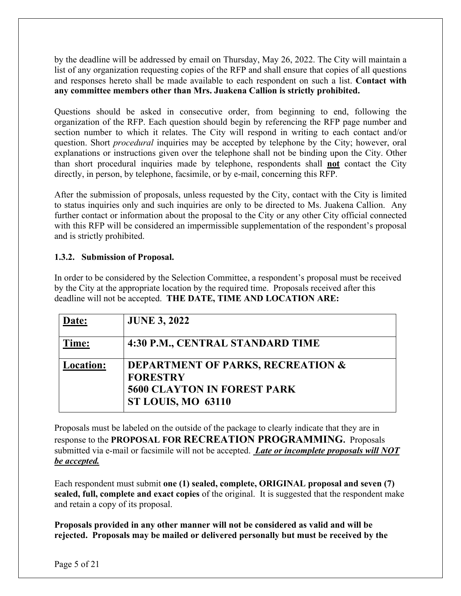by the deadline will be addressed by email on Thursday, May 26, 2022. The City will maintain a list of any organization requesting copies of the RFP and shall ensure that copies of all questions and responses hereto shall be made available to each respondent on such a list. **Contact with any committee members other than Mrs. Juakena Callion is strictly prohibited.**

Questions should be asked in consecutive order, from beginning to end, following the organization of the RFP. Each question should begin by referencing the RFP page number and section number to which it relates. The City will respond in writing to each contact and/or question. Short *procedural* inquiries may be accepted by telephone by the City; however, oral explanations or instructions given over the telephone shall not be binding upon the City. Other than short procedural inquiries made by telephone, respondents shall **not** contact the City directly, in person, by telephone, facsimile, or by e-mail, concerning this RFP.

After the submission of proposals, unless requested by the City, contact with the City is limited to status inquiries only and such inquiries are only to be directed to Ms. Juakena Callion. Any further contact or information about the proposal to the City or any other City official connected with this RFP will be considered an impermissible supplementation of the respondent's proposal and is strictly prohibited.

### **1.3.2. Submission of Proposal.**

In order to be considered by the Selection Committee, a respondent's proposal must be received by the City at the appropriate location by the required time. Proposals received after this deadline will not be accepted. **THE DATE, TIME AND LOCATION ARE:**

| ate:             | <b>JUNE 3, 2022</b>                                                                                                         |
|------------------|-----------------------------------------------------------------------------------------------------------------------------|
| Time:            | 4:30 P.M., CENTRAL STANDARD TIME                                                                                            |
| <b>Location:</b> | <b>DEPARTMENT OF PARKS, RECREATION &amp;</b><br><b>FORESTRY</b><br><b>5600 CLAYTON IN FOREST PARK</b><br>ST LOUIS, MO 63110 |

Proposals must be labeled on the outside of the package to clearly indicate that they are in response to the **PROPOSAL FOR RECREATION PROGRAMMING.** Proposals submitted via e-mail or facsimile will not be accepted. *Late or incomplete proposals will NOT be accepted.*

Each respondent must submit **one (1) sealed, complete, ORIGINAL proposal and seven (7) sealed, full, complete and exact copies** of the original. It is suggested that the respondent make and retain a copy of its proposal.

**Proposals provided in any other manner will not be considered as valid and will be rejected. Proposals may be mailed or delivered personally but must be received by the**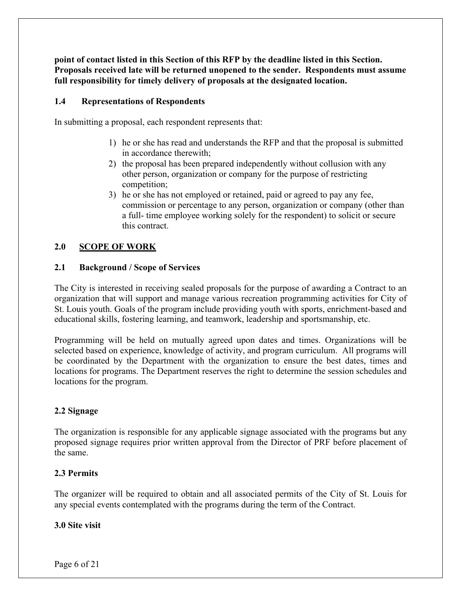**point of contact listed in this Section of this RFP by the deadline listed in this Section. Proposals received late will be returned unopened to the sender. Respondents must assume full responsibility for timely delivery of proposals at the designated location.**

### **1.4 Representations of Respondents**

In submitting a proposal, each respondent represents that:

- 1) he or she has read and understands the RFP and that the proposal is submitted in accordance therewith;
- 2) the proposal has been prepared independently without collusion with any other person, organization or company for the purpose of restricting competition;
- 3) he or she has not employed or retained, paid or agreed to pay any fee, commission or percentage to any person, organization or company (other than a full- time employee working solely for the respondent) to solicit or secure this contract.

### **2.0 SCOPE OF WORK**

### **2.1 Background / Scope of Services**

The City is interested in receiving sealed proposals for the purpose of awarding a Contract to an organization that will support and manage various recreation programming activities for City of St. Louis youth. Goals of the program include providing youth with sports, enrichment-based and educational skills, fostering learning, and teamwork, leadership and sportsmanship, etc.

Programming will be held on mutually agreed upon dates and times. Organizations will be selected based on experience, knowledge of activity, and program curriculum. All programs will be coordinated by the Department with the organization to ensure the best dates, times and locations for programs. The Department reserves the right to determine the session schedules and locations for the program.

### **2.2 Signage**

The organization is responsible for any applicable signage associated with the programs but any proposed signage requires prior written approval from the Director of PRF before placement of the same.

### **2.3 Permits**

The organizer will be required to obtain and all associated permits of the City of St. Louis for any special events contemplated with the programs during the term of the Contract.

### **3.0 Site visit**

Page 6 of 21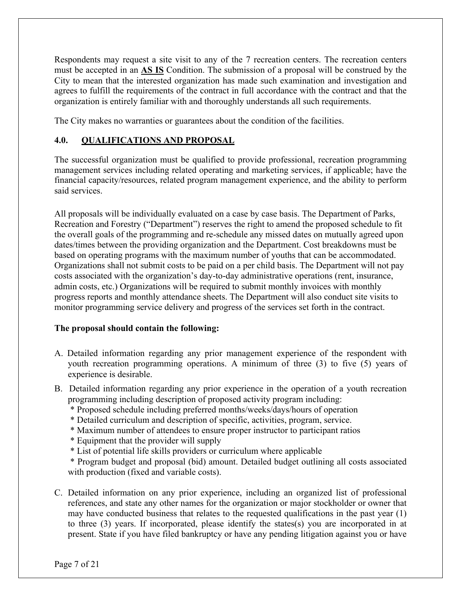Respondents may request a site visit to any of the 7 recreation centers. The recreation centers must be accepted in an **AS IS** Condition. The submission of a proposal will be construed by the City to mean that the interested organization has made such examination and investigation and agrees to fulfill the requirements of the contract in full accordance with the contract and that the organization is entirely familiar with and thoroughly understands all such requirements.

The City makes no warranties or guarantees about the condition of the facilities.

### **4.0. QUALIFICATIONS AND PROPOSAL**

The successful organization must be qualified to provide professional, recreation programming management services including related operating and marketing services, if applicable; have the financial capacity/resources, related program management experience, and the ability to perform said services.

All proposals will be individually evaluated on a case by case basis. The Department of Parks, Recreation and Forestry ("Department") reserves the right to amend the proposed schedule to fit the overall goals of the programming and re-schedule any missed dates on mutually agreed upon dates/times between the providing organization and the Department. Cost breakdowns must be based on operating programs with the maximum number of youths that can be accommodated. Organizations shall not submit costs to be paid on a per child basis. The Department will not pay costs associated with the organization's day-to-day administrative operations (rent, insurance, admin costs, etc.) Organizations will be required to submit monthly invoices with monthly progress reports and monthly attendance sheets. The Department will also conduct site visits to monitor programming service delivery and progress of the services set forth in the contract.

### **The proposal should contain the following:**

- A. Detailed information regarding any prior management experience of the respondent with youth recreation programming operations. A minimum of three (3) to five (5) years of experience is desirable.
- B. Detailed information regarding any prior experience in the operation of a youth recreation programming including description of proposed activity program including:
	- \* Proposed schedule including preferred months/weeks/days/hours of operation
	- \* Detailed curriculum and description of specific, activities, program, service.
	- \* Maximum number of attendees to ensure proper instructor to participant ratios
	- \* Equipment that the provider will supply
	- \* List of potential life skills providers or curriculum where applicable

 \* Program budget and proposal (bid) amount. Detailed budget outlining all costs associated with production (fixed and variable costs).

C. Detailed information on any prior experience, including an organized list of professional references, and state any other names for the organization or major stockholder or owner that may have conducted business that relates to the requested qualifications in the past year (1) to three (3) years. If incorporated, please identify the states(s) you are incorporated in at present. State if you have filed bankruptcy or have any pending litigation against you or have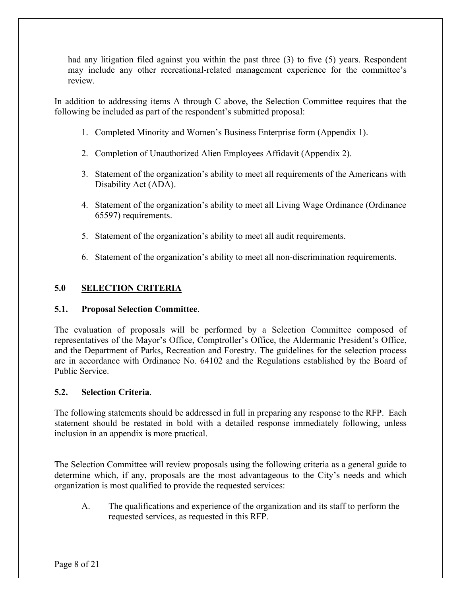had any litigation filed against you within the past three (3) to five (5) years. Respondent may include any other recreational-related management experience for the committee's review.

In addition to addressing items A through C above, the Selection Committee requires that the following be included as part of the respondent's submitted proposal:

- 1. Completed Minority and Women's Business Enterprise form (Appendix 1).
- 2. Completion of Unauthorized Alien Employees Affidavit (Appendix 2).
- 3. Statement of the organization's ability to meet all requirements of the Americans with Disability Act (ADA).
- 4. Statement of the organization's ability to meet all Living Wage Ordinance (Ordinance 65597) requirements.
- 5. Statement of the organization's ability to meet all audit requirements.
- 6. Statement of the organization's ability to meet all non-discrimination requirements.

### **5.0 SELECTION CRITERIA**

### **5.1. Proposal Selection Committee**.

The evaluation of proposals will be performed by a Selection Committee composed of representatives of the Mayor's Office, Comptroller's Office, the Aldermanic President's Office, and the Department of Parks, Recreation and Forestry. The guidelines for the selection process are in accordance with Ordinance No. 64102 and the Regulations established by the Board of Public Service.

### **5.2. Selection Criteria**.

The following statements should be addressed in full in preparing any response to the RFP. Each statement should be restated in bold with a detailed response immediately following, unless inclusion in an appendix is more practical.

The Selection Committee will review proposals using the following criteria as a general guide to determine which, if any, proposals are the most advantageous to the City's needs and which organization is most qualified to provide the requested services:

A. The qualifications and experience of the organization and its staff to perform the requested services, as requested in this RFP.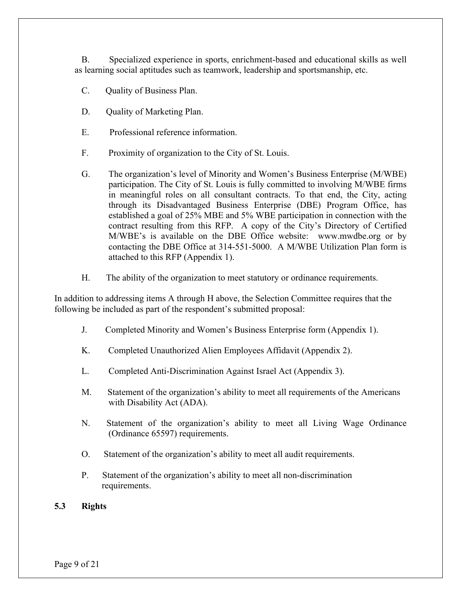B. Specialized experience in sports, enrichment-based and educational skills as well as learning social aptitudes such as teamwork, leadership and sportsmanship, etc.

- C. Quality of Business Plan.
- D. Quality of Marketing Plan.
- E. Professional reference information.
- F. Proximity of organization to the City of St. Louis.
- G. The organization's level of Minority and Women's Business Enterprise (M/WBE) participation. The City of St. Louis is fully committed to involving M/WBE firms in meaningful roles on all consultant contracts. To that end, the City, acting through its Disadvantaged Business Enterprise (DBE) Program Office, has established a goal of 25% MBE and 5% WBE participation in connection with the contract resulting from this RFP. A copy of the City's Directory of Certified M/WBE's is available on the DBE Office website: www.mwdbe.org or by contacting the DBE Office at 314-551-5000. A M/WBE Utilization Plan form is attached to this RFP (Appendix 1).
- H. The ability of the organization to meet statutory or ordinance requirements.

In addition to addressing items A through H above, the Selection Committee requires that the following be included as part of the respondent's submitted proposal:

- J. Completed Minority and Women's Business Enterprise form (Appendix 1).
- K. Completed Unauthorized Alien Employees Affidavit (Appendix 2).
- L. Completed Anti-Discrimination Against Israel Act (Appendix 3).
- M. Statement of the organization's ability to meet all requirements of the Americans with Disability Act (ADA).
- N. Statement of the organization's ability to meet all Living Wage Ordinance (Ordinance 65597) requirements.
- O. Statement of the organization's ability to meet all audit requirements.
- P. Statement of the organization's ability to meet all non-discrimination requirements.

### **5.3 Rights**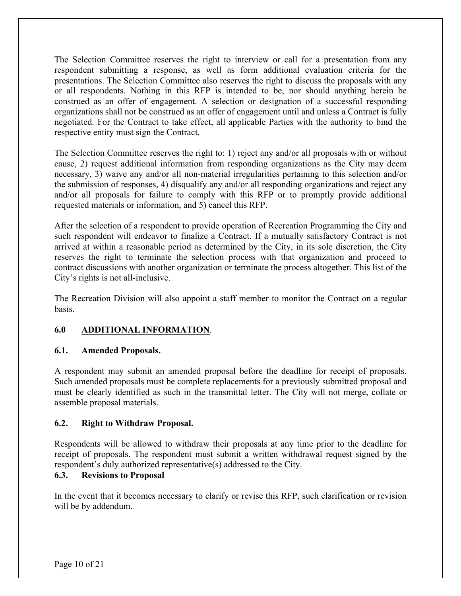The Selection Committee reserves the right to interview or call for a presentation from any respondent submitting a response, as well as form additional evaluation criteria for the presentations. The Selection Committee also reserves the right to discuss the proposals with any or all respondents. Nothing in this RFP is intended to be, nor should anything herein be construed as an offer of engagement. A selection or designation of a successful responding organizations shall not be construed as an offer of engagement until and unless a Contract is fully negotiated. For the Contract to take effect, all applicable Parties with the authority to bind the respective entity must sign the Contract.

The Selection Committee reserves the right to: 1) reject any and/or all proposals with or without cause, 2) request additional information from responding organizations as the City may deem necessary, 3) waive any and/or all non-material irregularities pertaining to this selection and/or the submission of responses, 4) disqualify any and/or all responding organizations and reject any and/or all proposals for failure to comply with this RFP or to promptly provide additional requested materials or information, and 5) cancel this RFP.

After the selection of a respondent to provide operation of Recreation Programming the City and such respondent will endeavor to finalize a Contract. If a mutually satisfactory Contract is not arrived at within a reasonable period as determined by the City, in its sole discretion, the City reserves the right to terminate the selection process with that organization and proceed to contract discussions with another organization or terminate the process altogether. This list of the City's rights is not all-inclusive.

The Recreation Division will also appoint a staff member to monitor the Contract on a regular basis.

### **6.0 ADDITIONAL INFORMATION**.

### **6.1. Amended Proposals.**

A respondent may submit an amended proposal before the deadline for receipt of proposals. Such amended proposals must be complete replacements for a previously submitted proposal and must be clearly identified as such in the transmittal letter. The City will not merge, collate or assemble proposal materials.

### **6.2. Right to Withdraw Proposal.**

Respondents will be allowed to withdraw their proposals at any time prior to the deadline for receipt of proposals. The respondent must submit a written withdrawal request signed by the respondent's duly authorized representative(s) addressed to the City.

### **6.3. Revisions to Proposal**

In the event that it becomes necessary to clarify or revise this RFP, such clarification or revision will be by addendum.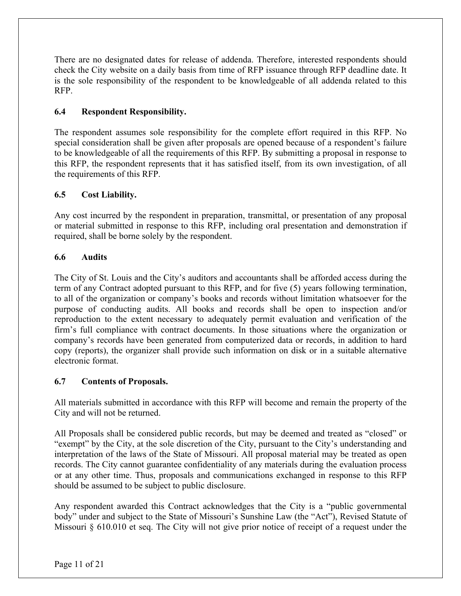There are no designated dates for release of addenda. Therefore, interested respondents should check the City website on a daily basis from time of RFP issuance through RFP deadline date. It is the sole responsibility of the respondent to be knowledgeable of all addenda related to this RFP.

### **6.4 Respondent Responsibility.**

The respondent assumes sole responsibility for the complete effort required in this RFP. No special consideration shall be given after proposals are opened because of a respondent's failure to be knowledgeable of all the requirements of this RFP. By submitting a proposal in response to this RFP, the respondent represents that it has satisfied itself, from its own investigation, of all the requirements of this RFP.

### **6.5 Cost Liability.**

Any cost incurred by the respondent in preparation, transmittal, or presentation of any proposal or material submitted in response to this RFP, including oral presentation and demonstration if required, shall be borne solely by the respondent.

### **6.6 Audits**

The City of St. Louis and the City's auditors and accountants shall be afforded access during the term of any Contract adopted pursuant to this RFP, and for five (5) years following termination, to all of the organization or company's books and records without limitation whatsoever for the purpose of conducting audits. All books and records shall be open to inspection and/or reproduction to the extent necessary to adequately permit evaluation and verification of the firm's full compliance with contract documents. In those situations where the organization or company's records have been generated from computerized data or records, in addition to hard copy (reports), the organizer shall provide such information on disk or in a suitable alternative electronic format.

### **6.7 Contents of Proposals.**

All materials submitted in accordance with this RFP will become and remain the property of the City and will not be returned.

All Proposals shall be considered public records, but may be deemed and treated as "closed" or "exempt" by the City, at the sole discretion of the City, pursuant to the City's understanding and interpretation of the laws of the State of Missouri. All proposal material may be treated as open records. The City cannot guarantee confidentiality of any materials during the evaluation process or at any other time. Thus, proposals and communications exchanged in response to this RFP should be assumed to be subject to public disclosure.

Any respondent awarded this Contract acknowledges that the City is a "public governmental body" under and subject to the State of Missouri's Sunshine Law (the "Act"), Revised Statute of Missouri § 610.010 et seq. The City will not give prior notice of receipt of a request under the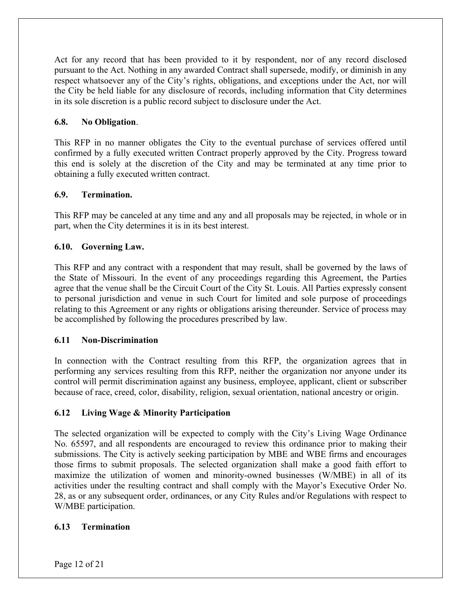Act for any record that has been provided to it by respondent, nor of any record disclosed pursuant to the Act. Nothing in any awarded Contract shall supersede, modify, or diminish in any respect whatsoever any of the City's rights, obligations, and exceptions under the Act, nor will the City be held liable for any disclosure of records, including information that City determines in its sole discretion is a public record subject to disclosure under the Act.

### **6.8. No Obligation**.

This RFP in no manner obligates the City to the eventual purchase of services offered until confirmed by a fully executed written Contract properly approved by the City. Progress toward this end is solely at the discretion of the City and may be terminated at any time prior to obtaining a fully executed written contract.

### **6.9. Termination.**

This RFP may be canceled at any time and any and all proposals may be rejected, in whole or in part, when the City determines it is in its best interest.

### **6.10. Governing Law.**

This RFP and any contract with a respondent that may result, shall be governed by the laws of the State of Missouri. In the event of any proceedings regarding this Agreement, the Parties agree that the venue shall be the Circuit Court of the City St. Louis. All Parties expressly consent to personal jurisdiction and venue in such Court for limited and sole purpose of proceedings relating to this Agreement or any rights or obligations arising thereunder. Service of process may be accomplished by following the procedures prescribed by law.

### **6.11 Non-Discrimination**

In connection with the Contract resulting from this RFP, the organization agrees that in performing any services resulting from this RFP, neither the organization nor anyone under its control will permit discrimination against any business, employee, applicant, client or subscriber because of race, creed, color, disability, religion, sexual orientation, national ancestry or origin.

### **6.12 Living Wage & Minority Participation**

The selected organization will be expected to comply with the City's Living Wage Ordinance No. 65597, and all respondents are encouraged to review this ordinance prior to making their submissions. The City is actively seeking participation by MBE and WBE firms and encourages those firms to submit proposals. The selected organization shall make a good faith effort to maximize the utilization of women and minority-owned businesses (W/MBE) in all of its activities under the resulting contract and shall comply with the Mayor's Executive Order No. 28, as or any subsequent order, ordinances, or any City Rules and/or Regulations with respect to W/MBE participation.

### **6.13 Termination**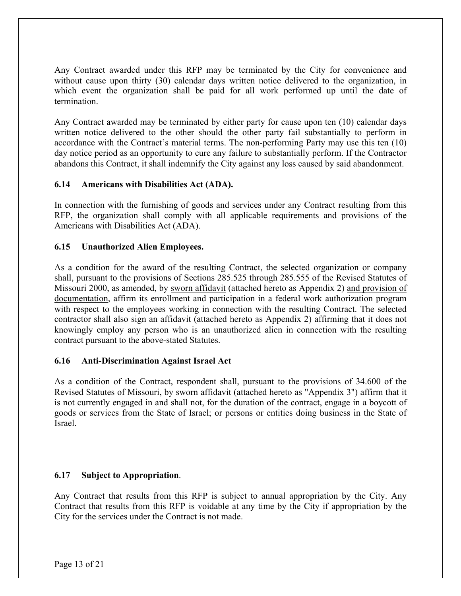Any Contract awarded under this RFP may be terminated by the City for convenience and without cause upon thirty (30) calendar days written notice delivered to the organization, in which event the organization shall be paid for all work performed up until the date of termination.

Any Contract awarded may be terminated by either party for cause upon ten (10) calendar days written notice delivered to the other should the other party fail substantially to perform in accordance with the Contract's material terms. The non-performing Party may use this ten (10) day notice period as an opportunity to cure any failure to substantially perform. If the Contractor abandons this Contract, it shall indemnify the City against any loss caused by said abandonment.

### **6.14 Americans with Disabilities Act (ADA).**

In connection with the furnishing of goods and services under any Contract resulting from this RFP, the organization shall comply with all applicable requirements and provisions of the Americans with Disabilities Act (ADA).

### **6.15 Unauthorized Alien Employees.**

As a condition for the award of the resulting Contract, the selected organization or company shall, pursuant to the provisions of Sections 285.525 through 285.555 of the Revised Statutes of Missouri 2000, as amended, by sworn affidavit (attached hereto as Appendix 2) and provision of documentation, affirm its enrollment and participation in a federal work authorization program with respect to the employees working in connection with the resulting Contract. The selected contractor shall also sign an affidavit (attached hereto as Appendix 2) affirming that it does not knowingly employ any person who is an unauthorized alien in connection with the resulting contract pursuant to the above-stated Statutes.

### **6.16 Anti-Discrimination Against Israel Act**

As a condition of the Contract, respondent shall, pursuant to the provisions of 34.600 of the Revised Statutes of Missouri, by sworn affidavit (attached hereto as "Appendix 3") affirm that it is not currently engaged in and shall not, for the duration of the contract, engage in a boycott of goods or services from the State of Israel; or persons or entities doing business in the State of Israel.

### **6.17 Subject to Appropriation**.

Any Contract that results from this RFP is subject to annual appropriation by the City. Any Contract that results from this RFP is voidable at any time by the City if appropriation by the City for the services under the Contract is not made.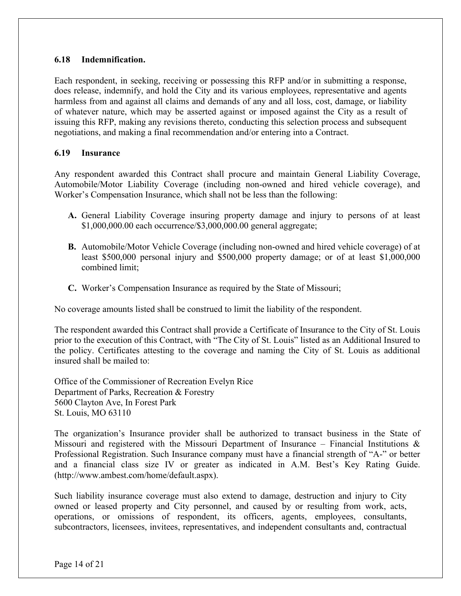### **6.18 Indemnification.**

Each respondent, in seeking, receiving or possessing this RFP and/or in submitting a response, does release, indemnify, and hold the City and its various employees, representative and agents harmless from and against all claims and demands of any and all loss, cost, damage, or liability of whatever nature, which may be asserted against or imposed against the City as a result of issuing this RFP, making any revisions thereto, conducting this selection process and subsequent negotiations, and making a final recommendation and/or entering into a Contract.

### **6.19 Insurance**

Any respondent awarded this Contract shall procure and maintain General Liability Coverage, Automobile/Motor Liability Coverage (including non-owned and hired vehicle coverage), and Worker's Compensation Insurance, which shall not be less than the following:

- **A.** General Liability Coverage insuring property damage and injury to persons of at least \$1,000,000.00 each occurrence/\$3,000,000.00 general aggregate;
- **B.** Automobile/Motor Vehicle Coverage (including non-owned and hired vehicle coverage) of at least \$500,000 personal injury and \$500,000 property damage; or of at least \$1,000,000 combined limit;
- **C.** Worker's Compensation Insurance as required by the State of Missouri;

No coverage amounts listed shall be construed to limit the liability of the respondent.

The respondent awarded this Contract shall provide a Certificate of Insurance to the City of St. Louis prior to the execution of this Contract, with "The City of St. Louis" listed as an Additional Insured to the policy. Certificates attesting to the coverage and naming the City of St. Louis as additional insured shall be mailed to:

Office of the Commissioner of Recreation Evelyn Rice Department of Parks, Recreation & Forestry 5600 Clayton Ave, In Forest Park St. Louis, MO 63110

The organization's Insurance provider shall be authorized to transact business in the State of Missouri and registered with the Missouri Department of Insurance – Financial Institutions  $\&$ Professional Registration. Such Insurance company must have a financial strength of "A-" or better and a financial class size IV or greater as indicated in A.M. Best's Key Rating Guide. (http://www.ambest.com/home/default.aspx).

Such liability insurance coverage must also extend to damage, destruction and injury to City owned or leased property and City personnel, and caused by or resulting from work, acts, operations, or omissions of respondent, its officers, agents, employees, consultants, subcontractors, licensees, invitees, representatives, and independent consultants and, contractual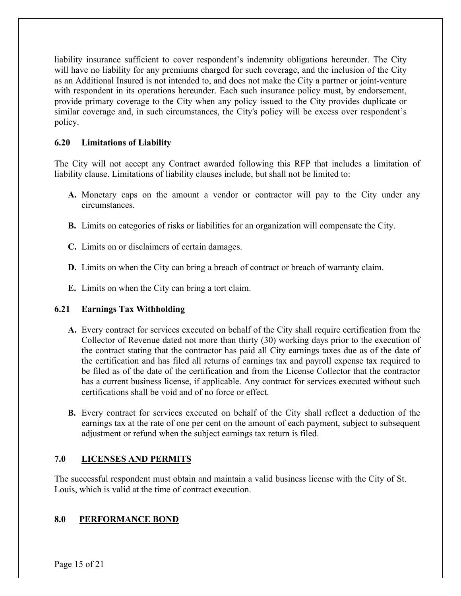liability insurance sufficient to cover respondent's indemnity obligations hereunder. The City will have no liability for any premiums charged for such coverage, and the inclusion of the City as an Additional Insured is not intended to, and does not make the City a partner or joint-venture with respondent in its operations hereunder. Each such insurance policy must, by endorsement, provide primary coverage to the City when any policy issued to the City provides duplicate or similar coverage and, in such circumstances, the City's policy will be excess over respondent's policy.

### **6.20 Limitations of Liability**

The City will not accept any Contract awarded following this RFP that includes a limitation of liability clause. Limitations of liability clauses include, but shall not be limited to:

- **A.** Monetary caps on the amount a vendor or contractor will pay to the City under any circumstances.
- **B.** Limits on categories of risks or liabilities for an organization will compensate the City.
- **C.** Limits on or disclaimers of certain damages.
- **D.** Limits on when the City can bring a breach of contract or breach of warranty claim.
- **E.** Limits on when the City can bring a tort claim.

### **6.21 Earnings Tax Withholding**

- **A.** Every contract for services executed on behalf of the City shall require certification from the Collector of Revenue dated not more than thirty (30) working days prior to the execution of the contract stating that the contractor has paid all City earnings taxes due as of the date of the certification and has filed all returns of earnings tax and payroll expense tax required to be filed as of the date of the certification and from the License Collector that the contractor has a current business license, if applicable. Any contract for services executed without such certifications shall be void and of no force or effect.
- **B.** Every contract for services executed on behalf of the City shall reflect a deduction of the earnings tax at the rate of one per cent on the amount of each payment, subject to subsequent adjustment or refund when the subject earnings tax return is filed.

### **7.0 LICENSES AND PERMITS**

The successful respondent must obtain and maintain a valid business license with the City of St. Louis, which is valid at the time of contract execution.

### **8.0 PERFORMANCE BOND**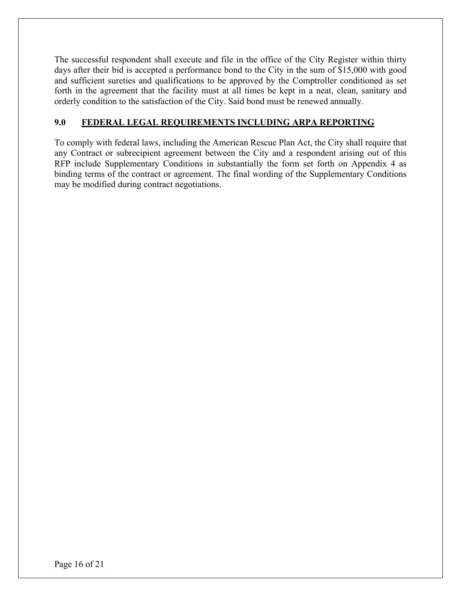The successful respondent shall execute and file in the office of the City Register within thirty days after their bid is accepted a performance bond to the City in the sum of \$15,000 with good and sufficient sureties and qualifications to be approved by the Comptroller conditioned as set forth in the agreement that the facility must at all times be kept in a neat, clean, sanitary and orderly condition to the satisfaction of the City. Said bond must be renewed annually.

### **9.0 FEDERAL LEGAL REQUIREMENTS INCLUDING ARPA REPORTING**

To comply with federal laws, including the American Rescue Plan Act, the City shall require that any Contract or subrecipient agreement between the City and a respondent arising out of this RFP include Supplementary Conditions in substantially the form set forth on Appendix 4 as binding terms of the contract or agreement. The final wording of the Supplementary Conditions may be modified during contract negotiations.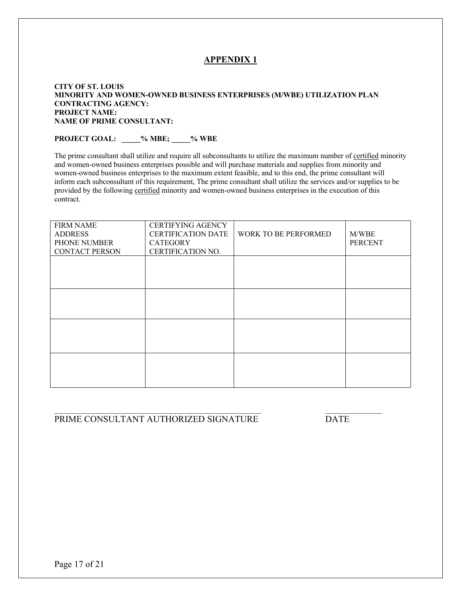#### **CITY OF ST. LOUIS MINORITY AND WOMEN-OWNED BUSINESS ENTERPRISES (M/WBE) UTILIZATION PLAN CONTRACTING AGENCY: PROJECT NAME: NAME OF PRIME CONSULTANT:**

# **PROJECT GOAL: \_\_\_\_\_% MBE; \_\_\_\_\_% WBE**

The prime consultant shall utilize and require all subconsultants to utilize the maximum number of certified minority and women-owned business enterprises possible and will purchase materials and supplies from minority and women-owned business enterprises to the maximum extent feasible, and to this end, the prime consultant will inform each subconsultant of this requirement, The prime consultant shall utilize the services and/or supplies to be provided by the following certified minority and women-owned business enterprises in the execution of this contract.

| <b>FIRM NAME</b><br><b>ADDRESS</b><br>PHONE NUMBER<br><b>CONTACT PERSON</b> | <b>CERTIFYING AGENCY</b><br><b>CERTIFICATION DATE</b><br>CATEGORY<br>CERTIFICATION NO. | WORK TO BE PERFORMED | M/WBE<br><b>PERCENT</b> |
|-----------------------------------------------------------------------------|----------------------------------------------------------------------------------------|----------------------|-------------------------|
|                                                                             |                                                                                        |                      |                         |
|                                                                             |                                                                                        |                      |                         |
|                                                                             |                                                                                        |                      |                         |
|                                                                             |                                                                                        |                      |                         |

### PRIME CONSULTANT AUTHORIZED SIGNATURE DATE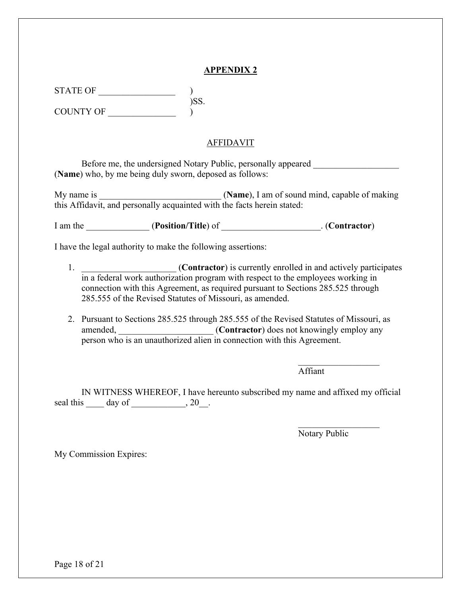STATE OF  $\qquad \qquad$ )SS.

COUNTY OF

### AFFIDAVIT

Before me, the undersigned Notary Public, personally appeared (**Name**) who, by me being duly sworn, deposed as follows:

My name is \_\_\_\_\_\_\_\_\_\_\_\_\_\_\_\_\_\_\_\_\_\_\_\_\_\_\_ (**Name**), I am of sound mind, capable of making this Affidavit, and personally acquainted with the facts herein stated:

I am the \_\_\_\_\_\_\_\_\_\_\_\_\_\_ (**Position/Title**) of \_\_\_\_\_\_\_\_\_\_\_\_\_\_\_\_\_\_\_\_\_\_. (**Contractor**)

I have the legal authority to make the following assertions:

- 1. \_\_\_\_\_\_\_\_\_\_\_\_\_\_\_\_\_\_\_\_\_ (**Contractor**) is currently enrolled in and actively participates in a federal work authorization program with respect to the employees working in connection with this Agreement, as required pursuant to Sections 285.525 through 285.555 of the Revised Statutes of Missouri, as amended.
- 2. Pursuant to Sections 285.525 through 285.555 of the Revised Statutes of Missouri, as amended, \_\_\_\_\_\_\_\_\_\_\_\_\_\_\_\_\_\_\_\_\_ (**Contractor**) does not knowingly employ any person who is an unauthorized alien in connection with this Agreement.

Affiant

IN WITNESS WHEREOF, I have hereunto subscribed my name and affixed my official seal this \_\_\_\_\_ day of \_\_\_\_\_\_\_\_\_\_, 20\_\_.

Notary Public

 $\frac{1}{2}$  ,  $\frac{1}{2}$  ,  $\frac{1}{2}$  ,  $\frac{1}{2}$  ,  $\frac{1}{2}$  ,  $\frac{1}{2}$  ,  $\frac{1}{2}$  ,  $\frac{1}{2}$  ,  $\frac{1}{2}$  ,  $\frac{1}{2}$ 

My Commission Expires: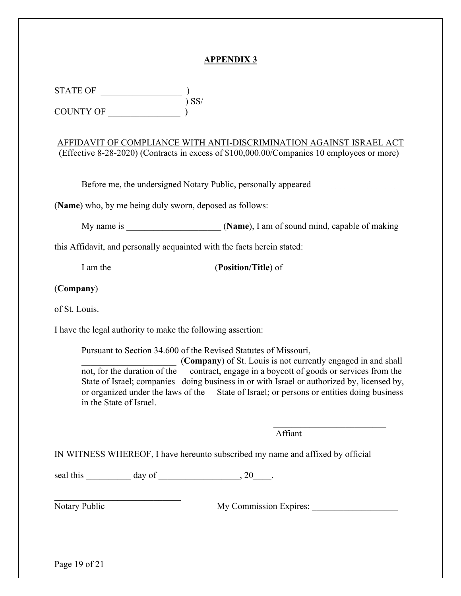STATE OF \_\_\_\_\_\_\_\_\_\_\_\_\_\_\_\_\_\_ )  $\sum$   $SS/$ COUNTY OF \_\_\_\_\_\_\_\_\_\_\_\_\_\_\_\_ )

AFFIDAVIT OF COMPLIANCE WITH ANTI-DISCRIMINATION AGAINST ISRAEL ACT (Effective 8-28-2020) (Contracts in excess of \$100,000.00/Companies 10 employees or more)

Before me, the undersigned Notary Public, personally appeared

(**Name**) who, by me being duly sworn, deposed as follows:

My name is **Music Community** (**Name**), I am of sound mind, capable of making

this Affidavit, and personally acquainted with the facts herein stated:

I am the \_\_\_\_\_\_\_\_\_\_\_\_\_\_\_\_\_\_\_\_\_\_ (**Position/Title**) of \_\_\_\_\_\_\_\_\_\_\_\_\_\_\_\_\_\_\_

(**Company**)

of St. Louis.

I have the legal authority to make the following assertion:

Pursuant to Section 34.600 of the Revised Statutes of Missouri,

\_\_\_\_\_\_\_\_\_\_\_\_\_\_\_\_\_\_\_\_\_ (**Company**) of St. Louis is not currently engaged in and shall not, for the duration of the contract, engage in a boycott of goods or services from the State of Israel; companies doing business in or with Israel or authorized by, licensed by, or organized under the laws of the State of Israel; or persons or entities doing business in the State of Israel.

Affiant

IN WITNESS WHEREOF, I have hereunto subscribed my name and affixed by official

seal this day of the seal this day of the seal of the seal this seal this day of the seal that  $\frac{1}{2}$  and  $\frac{1}{2}$ .

Notary Public My Commission Expires: \_\_\_\_\_\_\_\_\_\_\_\_\_\_\_\_\_\_\_

Page 19 of 21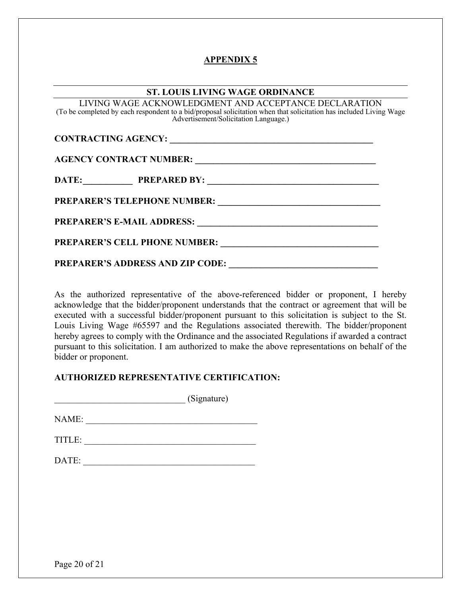### **ST. LOUIS LIVING WAGE ORDINANCE**

| LIVING WAGE ACKNOWLEDGMENT AND ACCEPTANCE DECLARATION<br>(To be completed by each respondent to a bid/proposal solicitation when that solicitation has included Living Wage<br>Advertisement/Solicitation Language.) |  |
|----------------------------------------------------------------------------------------------------------------------------------------------------------------------------------------------------------------------|--|
|                                                                                                                                                                                                                      |  |
|                                                                                                                                                                                                                      |  |
| DATE: PREPARED BY:                                                                                                                                                                                                   |  |
|                                                                                                                                                                                                                      |  |
|                                                                                                                                                                                                                      |  |
|                                                                                                                                                                                                                      |  |
| <b>PREPARER'S ADDRESS AND ZIP CODE:</b>                                                                                                                                                                              |  |

As the authorized representative of the above-referenced bidder or proponent, I hereby acknowledge that the bidder/proponent understands that the contract or agreement that will be executed with a successful bidder/proponent pursuant to this solicitation is subject to the St. Louis Living Wage #65597 and the Regulations associated therewith. The bidder/proponent hereby agrees to comply with the Ordinance and the associated Regulations if awarded a contract pursuant to this solicitation. I am authorized to make the above representations on behalf of the bidder or proponent.

### **AUTHORIZED REPRESENTATIVE CERTIFICATION:**

\_\_\_\_\_\_\_\_\_\_\_\_\_\_\_\_\_\_\_\_\_\_\_\_\_\_\_\_\_ (Signature) NAME:

TITLE: \_\_\_\_\_\_\_\_\_\_\_\_\_\_\_\_\_\_\_\_\_\_\_\_\_\_\_\_\_\_\_\_\_\_\_\_\_\_

DATE: